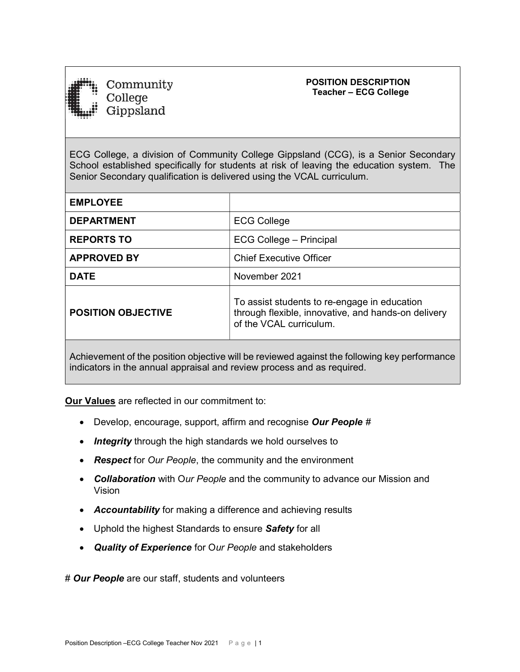

Community College Gippsland

# POSITION DESCRIPTION Teacher – ECG College

ECG College, a division of Community College Gippsland (CCG), is a Senior Secondary School established specifically for students at risk of leaving the education system. The Senior Secondary qualification is delivered using the VCAL curriculum.

| <b>EMPLOYEE</b>           |                                                                                                                                |  |
|---------------------------|--------------------------------------------------------------------------------------------------------------------------------|--|
| <b>DEPARTMENT</b>         | <b>ECG College</b>                                                                                                             |  |
| <b>REPORTS TO</b>         | ECG College - Principal                                                                                                        |  |
| <b>APPROVED BY</b>        | <b>Chief Executive Officer</b>                                                                                                 |  |
| <b>DATE</b>               | November 2021                                                                                                                  |  |
| <b>POSITION OBJECTIVE</b> | To assist students to re-engage in education<br>through flexible, innovative, and hands-on delivery<br>of the VCAL curriculum. |  |
|                           |                                                                                                                                |  |

Achievement of the position objective will be reviewed against the following key performance indicators in the annual appraisal and review process and as required.

Our Values are reflected in our commitment to:

- Develop, encourage, support, affirm and recognise Our People #
- Integrity through the high standards we hold ourselves to
- Respect for Our People, the community and the environment
- Collaboration with Our People and the community to advance our Mission and Vision
- Accountability for making a difference and achieving results
- Uphold the highest Standards to ensure Safety for all
- Quality of Experience for Our People and stakeholders

# Our People are our staff, students and volunteers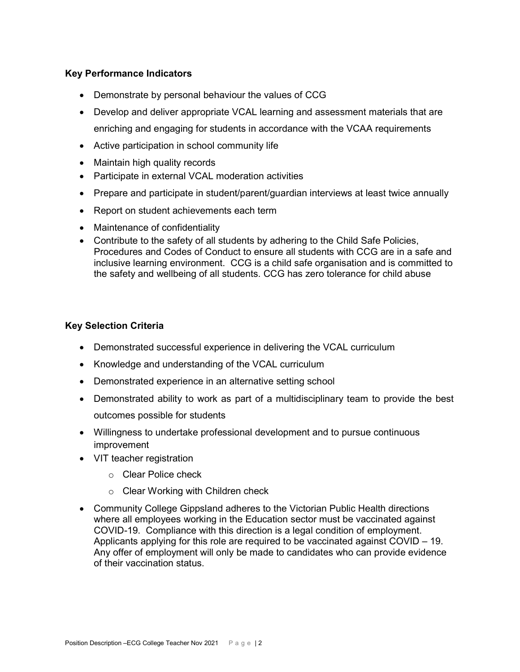# Key Performance Indicators

- Demonstrate by personal behaviour the values of CCG
- Develop and deliver appropriate VCAL learning and assessment materials that are enriching and engaging for students in accordance with the VCAA requirements
- Active participation in school community life
- Maintain high quality records
- Participate in external VCAL moderation activities
- Prepare and participate in student/parent/guardian interviews at least twice annually
- Report on student achievements each term
- Maintenance of confidentiality
- Contribute to the safety of all students by adhering to the Child Safe Policies, Procedures and Codes of Conduct to ensure all students with CCG are in a safe and inclusive learning environment. CCG is a child safe organisation and is committed to the safety and wellbeing of all students. CCG has zero tolerance for child abuse

## Key Selection Criteria

- Demonstrated successful experience in delivering the VCAL curriculum
- Knowledge and understanding of the VCAL curriculum
- Demonstrated experience in an alternative setting school
- Demonstrated ability to work as part of a multidisciplinary team to provide the best outcomes possible for students
- Willingness to undertake professional development and to pursue continuous improvement
- VIT teacher registration
	- o Clear Police check
	- o Clear Working with Children check
- Community College Gippsland adheres to the Victorian Public Health directions where all employees working in the Education sector must be vaccinated against COVID-19. Compliance with this direction is a legal condition of employment. Applicants applying for this role are required to be vaccinated against COVID – 19. Any offer of employment will only be made to candidates who can provide evidence of their vaccination status.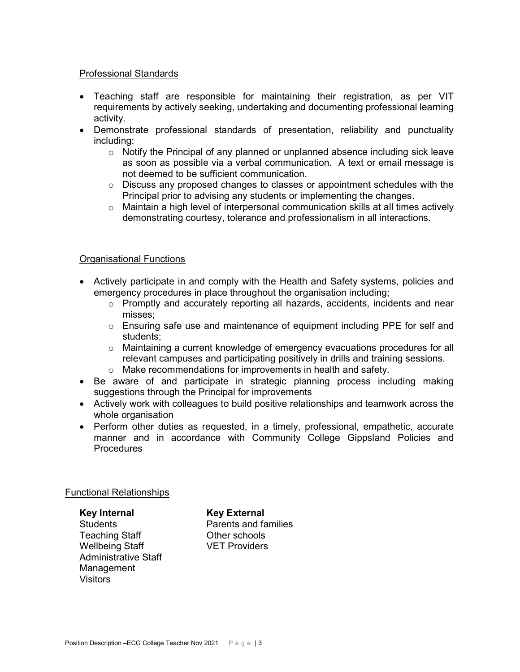### Professional Standards

- Teaching staff are responsible for maintaining their registration, as per VIT requirements by actively seeking, undertaking and documenting professional learning activity.
- Demonstrate professional standards of presentation, reliability and punctuality including:
	- o Notify the Principal of any planned or unplanned absence including sick leave as soon as possible via a verbal communication. A text or email message is not deemed to be sufficient communication.
	- o Discuss any proposed changes to classes or appointment schedules with the Principal prior to advising any students or implementing the changes.
	- o Maintain a high level of interpersonal communication skills at all times actively demonstrating courtesy, tolerance and professionalism in all interactions.

## Organisational Functions

- Actively participate in and comply with the Health and Safety systems, policies and emergency procedures in place throughout the organisation including;
	- o Promptly and accurately reporting all hazards, accidents, incidents and near misses;
	- o Ensuring safe use and maintenance of equipment including PPE for self and students;
	- o Maintaining a current knowledge of emergency evacuations procedures for all relevant campuses and participating positively in drills and training sessions.
	- o Make recommendations for improvements in health and safety.
- Be aware of and participate in strategic planning process including making suggestions through the Principal for improvements
- Actively work with colleagues to build positive relationships and teamwork across the whole organisation
- Perform other duties as requested, in a timely, professional, empathetic, accurate manner and in accordance with Community College Gippsland Policies and **Procedures**

## Functional Relationships

Key Internal Key External Teaching Staff **Contact Contract Contract Contract Contract Contract Contract Contract Contract Contract Contract Contract Contract Contract Contract Contract Contract Contract Contract Contract Contract Contract Contract** Wellbeing Staff VET Providers Administrative Staff Management Visitors

Students Parents and families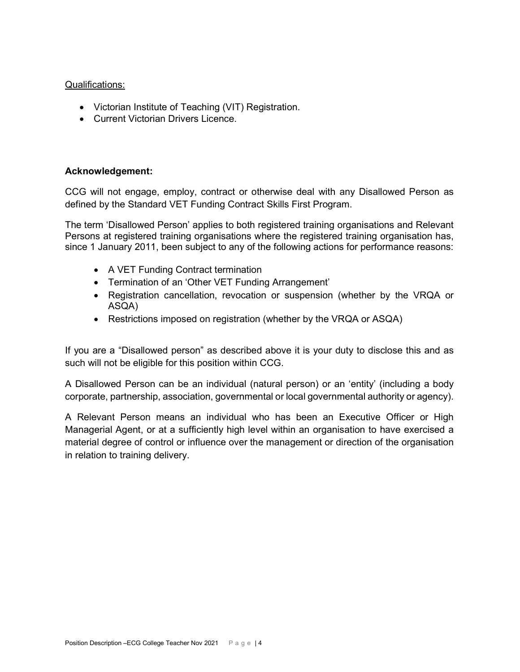### Qualifications:

- Victorian Institute of Teaching (VIT) Registration.
- Current Victorian Drivers Licence.

## Acknowledgement:

CCG will not engage, employ, contract or otherwise deal with any Disallowed Person as defined by the Standard VET Funding Contract Skills First Program.

The term 'Disallowed Person' applies to both registered training organisations and Relevant Persons at registered training organisations where the registered training organisation has, since 1 January 2011, been subject to any of the following actions for performance reasons:

- A VET Funding Contract termination
- Termination of an 'Other VET Funding Arrangement'
- Registration cancellation, revocation or suspension (whether by the VRQA or ASQA)
- Restrictions imposed on registration (whether by the VRQA or ASQA)

If you are a "Disallowed person" as described above it is your duty to disclose this and as such will not be eligible for this position within CCG.

A Disallowed Person can be an individual (natural person) or an 'entity' (including a body corporate, partnership, association, governmental or local governmental authority or agency).

A Relevant Person means an individual who has been an Executive Officer or High Managerial Agent, or at a sufficiently high level within an organisation to have exercised a material degree of control or influence over the management or direction of the organisation in relation to training delivery.